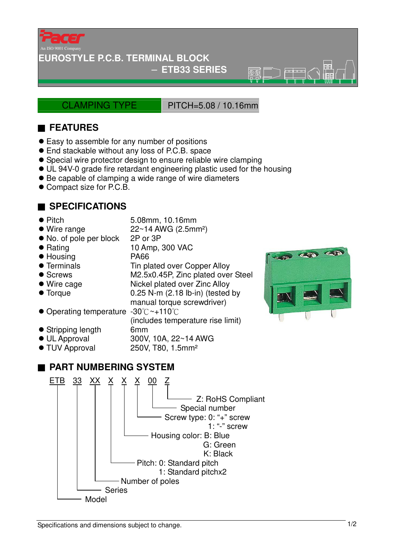

#### **EUROSTYLE P.C.B. TERMINAL BLOCK**

#### − **ETB33 SERIES**

CLAMPING TYPE PITCH=5.08 / 10.16mm

 $\overline{\circ}$ 

## ■ **FEATURES**

- Easy to assemble for any number of positions
- End stackable without any loss of P.C.B. space
- Special wire protector design to ensure reliable wire clamping
- UL 94V-0 grade fire retardant engineering plastic used for the housing
- Be capable of clamping a wide range of wire diameters
- Compact size for P.C.B.

### ■ **SPECIFICATIONS**

- 
- Pitch 5.08mm, 10.16mm

(includes temperature rise limit)

- $\bullet$  Wire range  $22~14$  AWG (2.5mm<sup>2</sup>)
- No. of pole per block 2P or 3P
- Rating 10 Amp, 300 VAC
- Housing PA66
- Terminals Tin plated over Copper Alloy
- Screws M2.5x0.45P, Zinc plated over Steel
- Wire cage Nickel plated over Zinc Alloy
- Torque 0.25 N-m (2.18 lb-in) (tested by
- manual torque screwdriver) ● Operating temperature -30°C~+110°C
- Stripping length 6mm
- UL Approval 300V, 10A, 22~14 AWG
- TUV Approval 250V, T80, 1.5mm<sup>2</sup>





Specifications and dimensions subject to change.